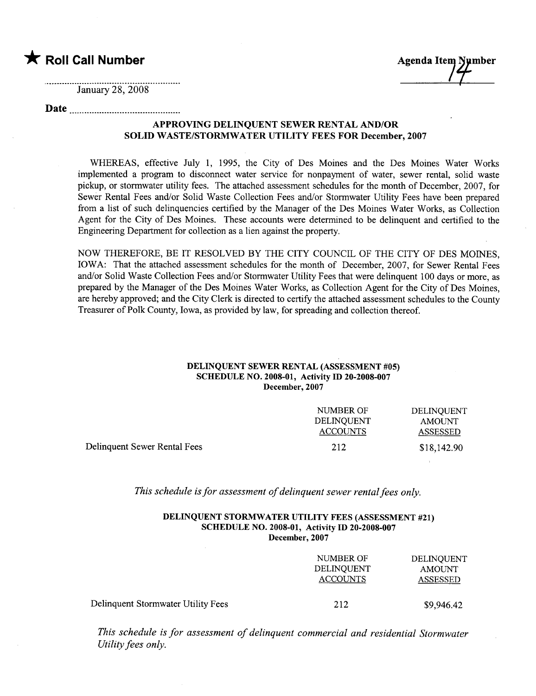\* Roll Call Number Agenda Item Number

January 28, 2008

# Date

## APPROVING DELINQUENT SEWER RENTAL AND/OR SOLID WASTE/STORMWATER UTILITY FEES FOR December, 2007

WHEREAS, effective July 1, 1995, the City of Des Moines and the Des Moines Water Works implemented a program to disconnect water service for nonpayment of water, sewer rental, solid waste pickup, or stormwater utility fees. The attached assessment schedules for the month of December, 2007, for Sewer Rental Fees and/or Solid Waste Collection Fees and/or Stormwater Utility Fees have been prepared from a list of such delinquencies certified by the Manager of the Des Moines Water Works, as Collection Agent for the City of Des Moines. These accounts were determned to be delinquent and certified to the Engineering Department for collection as a lien against the propert.

NOW THEREFORE, BE IT RESOLVED BY THE CITY COUNCIL OF THE CITY OF DES MOINES, IOWA: That the attached assessment schedules for the month of December, 2007, for Sewer Rental Fees and/or Solid Waste Collection Fees and/or Stormwater Utility Fees that were delinquent 100 days or more, as prepared by the Manager of the Des Moines Water Works, as Collection Agent for the City of Des Moines, are hereby approved; and the City Clerk is directed to certify the attached assessment schedules to the County Treasurer of Polk County, Iowa, as provided by law, for spreading and collection thereof.

#### DELINQUENT SEWER RENTAL (ASSESSMENT #05) SCHEDULE NO. 2008-01, Activity ID 20-2008-007 December, 2007

|                              | NUMBER OF       | DELINOUENT    |
|------------------------------|-----------------|---------------|
|                              | DELINOUENT      | <b>AMOUNT</b> |
|                              | <b>ACCOUNTS</b> | ASSESSED      |
| Delinquent Sewer Rental Fees | 212             | \$18,142.90   |

This schedule is for assessment of delinquent sewer rental fees only.

### DELINQUENT STORMWATER UTILITY FEES (ASSESSMENT #21) SCHEDULE NO. 2008-01, Activity ID 20-2008-007 December, 2007

|                                    | NUMBER OF<br>DELINOUENT<br><b>ACCOUNTS</b> | DELINQUENT<br>AMOUNT<br><b>ASSESSED</b> |
|------------------------------------|--------------------------------------------|-----------------------------------------|
| Delinquent Stormwater Utility Fees | 212                                        | \$9,946.42                              |

This schedule is for assessment of delinquent commercial and residential Stormwater Utility fees only.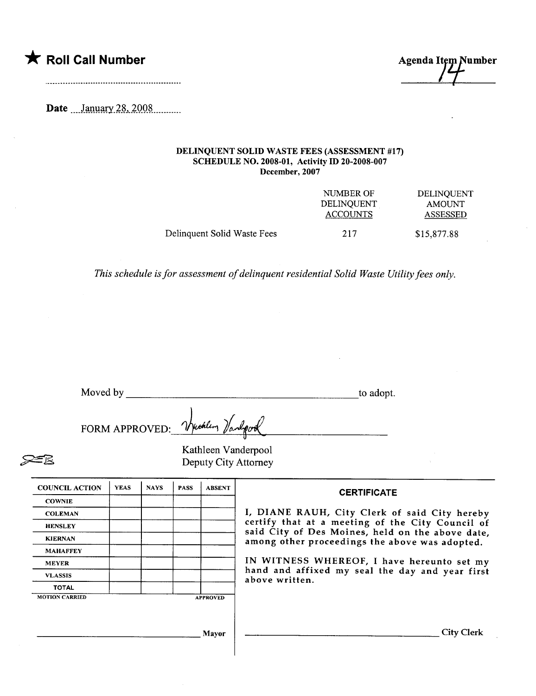\* Roll Call Number Agenda Item Number

Date \_\_\_January 28, 2008

### DELINQUENT SOLID WASTE FEES (ASSESSMENT #17) SCHEDULE NO. 2008-01, Activity ID 20-2008-007 December, 2007

|                             | NUMBER OF         | DELINQUENT    |
|-----------------------------|-------------------|---------------|
|                             | <b>DELINOUENT</b> | <b>AMOUNT</b> |
|                             | <b>ACCOUNTS</b>   | ASSESSED      |
| Delinquent Solid Waste Fees | 217               | \$15,877.88   |

This schedule is for assessment of delinquent residential Solid Waste Utilty fees only.

| Moved by | _______ | to adopt. |
|----------|---------|-----------|
|          |         |           |

FORM APPROVED: Vetallin Vanlovel FORM APPROVED: Vyutlem Vanderpool<br>Kathleen Vanderpool<br>Deputy City Attorney

Deputy City Attorney

| <b>COUNCIL ACTION</b> | <b>YEAS</b> | <b>NAYS</b> | <b>PASS</b> | <b>ABSENT</b>   |
|-----------------------|-------------|-------------|-------------|-----------------|
| <b>COWNIE</b>         |             |             |             |                 |
| <b>COLEMAN</b>        |             |             |             |                 |
| <b>HENSLEY</b>        |             |             |             |                 |
| <b>KIERNAN</b>        |             |             |             |                 |
| <b>MAHAFFEY</b>       |             |             |             |                 |
| <b>MEYER</b>          |             |             |             |                 |
| <b>VLASSIS</b>        |             |             |             |                 |
| <b>TOTAL</b>          |             |             |             |                 |
| <b>MOTION CARRIED</b> |             |             |             | <b>APPROVED</b> |

**CERTIFICATE** 

I, DIANE RAUH, City Clerk of said City hereby certify that at a meeting of the City Council of said City of Des Moines, held on the above date, among other proceedings the above was adopted.

IN WITNESS WHEREOF, I have hereunto set my hand and affixed my seal the day and year first above written.

Mayor City Clerk